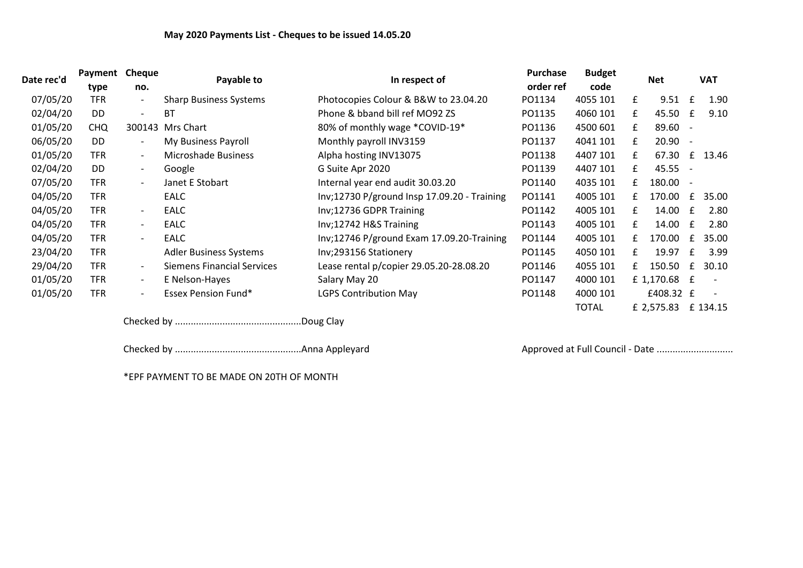| Date rec'd | Payment    | Cheque<br>no.            | Payable to                        | In respect of                               | <b>Purchase</b> | <b>Budget</b> |            |              |              |          |  |
|------------|------------|--------------------------|-----------------------------------|---------------------------------------------|-----------------|---------------|------------|--------------|--------------|----------|--|
|            | type       |                          |                                   |                                             | order ref       | code          | <b>Net</b> |              | <b>VAT</b>   |          |  |
| 07/05/20   | <b>TFR</b> | $\overline{\phantom{a}}$ | <b>Sharp Business Systems</b>     | Photocopies Colour & B&W to 23.04.20        | PO1134          | 4055 101      | £          | 9.51         | £            | 1.90     |  |
| 02/04/20   | DD         | $\overline{\phantom{a}}$ | <b>BT</b>                         | Phone & bband bill ref MO92 ZS              | PO1135          | 4060 101      | £          | 45.50        | £            | 9.10     |  |
| 01/05/20   | <b>CHQ</b> | 300143                   | Mrs Chart                         | 80% of monthly wage *COVID-19*              | PO1136          | 4500 601      | £          | 89.60 -      |              |          |  |
| 06/05/20   | DD         | $\overline{\phantom{a}}$ | My Business Payroll               | Monthly payroll INV3159                     | PO1137          | 4041 101      | £          | $20.90 -$    |              |          |  |
| 01/05/20   | <b>TFR</b> | $\overline{\phantom{a}}$ | Microshade Business               | Alpha hosting INV13075                      | PO1138          | 4407 101      | £          | 67.30        | £            | 13.46    |  |
| 02/04/20   | DD         | $\overline{\phantom{a}}$ | Google                            | G Suite Apr 2020                            | PO1139          | 4407 101      | f          | 45.55 -      |              |          |  |
| 07/05/20   | <b>TFR</b> | $\overline{\phantom{a}}$ | Janet E Stobart                   | Internal year end audit 30.03.20            | PO1140          | 4035 101      | f          | 180.00 -     |              |          |  |
| 04/05/20   | <b>TFR</b> |                          | EALC                              | Inv;12730 P/ground Insp 17.09.20 - Training | PO1141          | 4005 101      | £          | 170.00       | £            | 35.00    |  |
| 04/05/20   | <b>TFR</b> | $\overline{\phantom{a}}$ | <b>EALC</b>                       | Inv;12736 GDPR Training                     | PO1142          | 4005 101      | £          | 14.00        | £            | 2.80     |  |
| 04/05/20   | <b>TFR</b> | $\overline{\phantom{a}}$ | <b>EALC</b>                       | Inv;12742 H&S Training                      | PO1143          | 4005 101      | £          | 14.00        | $\mathbf{f}$ | 2.80     |  |
| 04/05/20   | <b>TFR</b> | $\overline{\phantom{a}}$ | <b>EALC</b>                       | Inv;12746 P/ground Exam 17.09.20-Training   | PO1144          | 4005 101      | £          | 170.00       | £            | 35.00    |  |
| 23/04/20   | <b>TFR</b> |                          | <b>Adler Business Systems</b>     | Inv;293156 Stationery                       | PO1145          | 4050 101      | £          | 19.97        | £            | 3.99     |  |
| 29/04/20   | <b>TFR</b> | $\overline{\phantom{a}}$ | <b>Siemens Financial Services</b> | Lease rental p/copier 29.05.20-28.08.20     | PO1146          | 4055 101      | f          | 150.50       | £            | 30.10    |  |
| 01/05/20   | <b>TFR</b> | $\overline{\phantom{a}}$ | E Nelson-Hayes                    | Salary May 20                               | PO1147          | 4000 101      |            | £ 1,170.68 £ |              |          |  |
| 01/05/20   | <b>TFR</b> | $\overline{\phantom{a}}$ | <b>Essex Pension Fund*</b>        | <b>LGPS Contribution May</b>                | PO1148          | 4000 101      |            | £408.32 £    |              |          |  |
|            |            |                          |                                   |                                             |                 | <b>TOTAL</b>  |            | £ 2,575.83   |              | £ 134.15 |  |

Checked by ................................................Doug Clay

Checked by ................................................Anna Appleyard Approved at Full Council - Date ........................................

\*EPF PAYMENT TO BE MADE ON 20TH OF MONTH